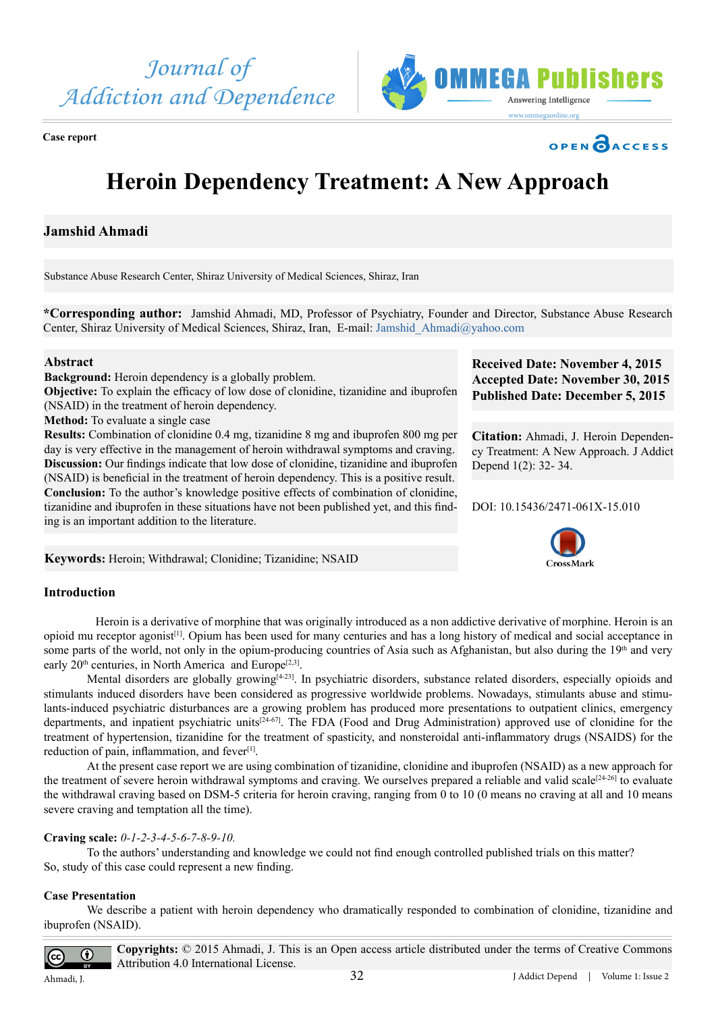



**Case report**



# **Heroin Dependency Treatment: A New Approach**

**Jamshid Ahmadi**

Substance Abuse Research Center, Shiraz University of Medical Sciences, Shiraz, Iran

**\*Corresponding author:** Jamshid Ahmadi, MD, Professor of Psychiatry, Founder and Director, Substance Abuse Research Center, Shiraz University of Medical Sciences, Shiraz, Iran, E-mail: [Jamshid\\_Ahmadi@yahoo.com](mailto:Jamshid_Ahmadi@yahoo.com)

## **Abstract**

**Background:** Heroin dependency is a globally problem.

**Objective:** To explain the efficacy of low dose of clonidine, tizanidine and ibuprofen (NSAID) in the treatment of heroin dependency.

**Method:** To evaluate a single case

**Results:** Combination of clonidine 0.4 mg, tizanidine 8 mg and ibuprofen 800 mg per day is very effective in the management of heroin withdrawal symptoms and craving. **Discussion:** Our findings indicate that low dose of clonidine, tizanidine and ibuprofen (NSAID) is beneficial in the treatment of heroin dependency. This is a positive result. **Conclusion:** To the author's knowledge positive effects of combination of clonidine, tizanidine and ibuprofen in these situations have not been published yet, and this finding is an important addition to the literature.

**Received Date: November 4, 2015 Accepted Date: November 30, 2015 Published Date: December 5, 2015**

**Citation:** Ahmadi, J. Heroin Dependency Treatment: A New Approach. J Addict Depend 1(2): 32- 34.

DOI: [10.15436/2471-061X-15](http://www.dx.doi.org/10.15436/2477-061X.15.010).010



**Keywords:** Heroin; Withdrawal; Clonidine; Tizanidine; NSAID

# **Introduction**

 Heroin is a derivative of morphine that was originally introduced as a non addictive derivative of morphine. Heroin is an opioid mu receptor agonist[1]. Opium has been used for many centuries and has a long history of medical and social acceptance in some parts of the world, not only in the opium-producing countries of Asia such as Afghanistan, but also during the 19<sup>th</sup> and very early  $20<sup>th</sup>$  centuries, in North America and Europe<sup>[2,3]</sup>.

Mental disorders are globally growing $[4-23]$ . In psychiatric disorders, substance related disorders, especially opioids and stimulants induced disorders have been considered as progressive worldwide problems. Nowadays, stimulants abuse and stimulants-induced psychiatric disturbances are a growing problem has produced more presentations to outpatient clinics, emergency departments, and inpatient psychiatric units[24-67]. The FDA (Food and Drug Administration) approved use of clonidine for the treatment of hypertension, tizanidine for the treatment of spasticity, and nonsteroidal anti-inflammatory drugs (NSAIDS) for the reduction of pain, inflammation, and fever<sup>[1]</sup>.

At the present case report we are using combination of tizanidine, clonidine and ibuprofen (NSAID) as a new approach for the treatment of severe heroin withdrawal symptoms and craving. We ourselves prepared a reliable and valid scale<sup>[24-26]</sup> to evaluate the withdrawal craving based on DSM-5 criteria for heroin craving, ranging from 0 to 10 (0 means no craving at all and 10 means severe craving and temptation all the time).

## **Craving scale:** *0-1-2-3-4-5-6-7-8-9-10.*

To the authors' understanding and knowledge we could not find enough controlled published trials on this matter? So, study of this case could represent a new finding.

# **Case Presentation**

We describe a patient with heroin dependency who dramatically responded to combination of clonidine, tizanidine and ibuprofen (NSAID).

 $\overline{\boldsymbol{\theta}}$  $|cc|$ 

**Copyrights:** © 2015 Ahmadi, J. This is an Open access article distributed under the terms of Creative Commons Attribution 4.0 International License.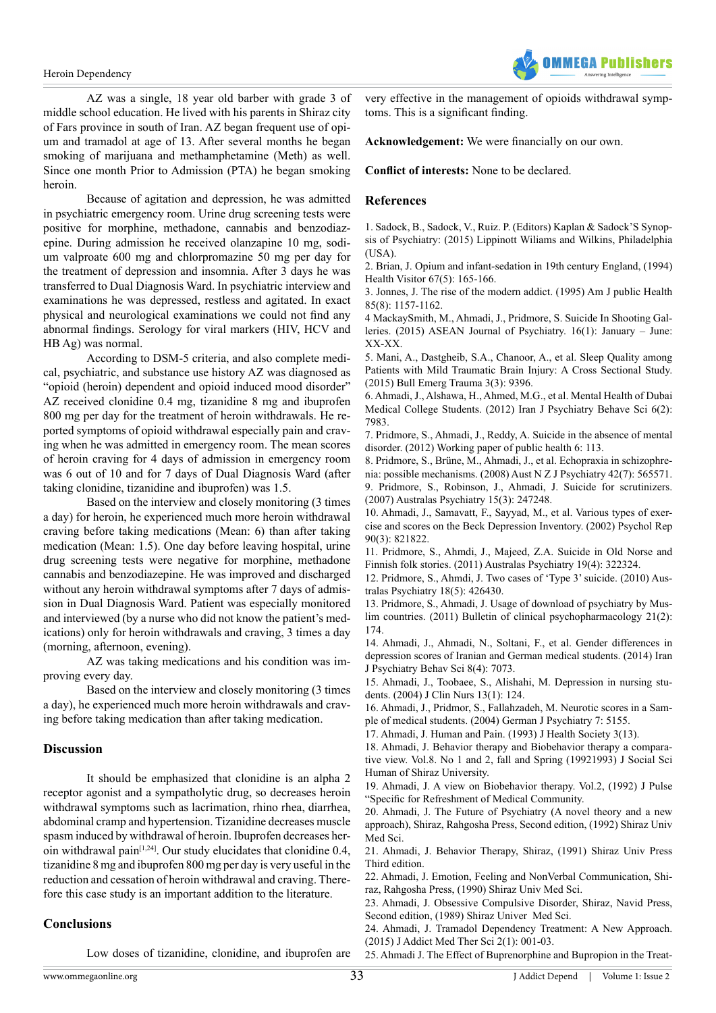#### Heroin Dependency



AZ was a single, 18 year old barber with grade 3 of middle school education. He lived with his parents in Shiraz city of Fars province in south of Iran. AZ began frequent use of opium and tramadol at age of 13. After several months he began smoking of marijuana and methamphetamine (Meth) as well. Since one month Prior to Admission (PTA) he began smoking heroin.

Because of agitation and depression, he was admitted in psychiatric emergency room. Urine drug screening tests were positive for morphine, methadone, cannabis and benzodiazepine. During admission he received olanzapine 10 mg, sodium valproate 600 mg and chlorpromazine 50 mg per day for the treatment of depression and insomnia. After 3 days he was transferred to Dual Diagnosis Ward. In psychiatric interview and examinations he was depressed, restless and agitated. In exact physical and neurological examinations we could not find any abnormal findings. Serology for viral markers (HIV, HCV and HB Ag) was normal.

According to DSM-5 criteria, and also complete medical, psychiatric, and substance use history AZ was diagnosed as "opioid (heroin) dependent and opioid induced mood disorder" AZ received clonidine 0.4 mg, tizanidine 8 mg and ibuprofen 800 mg per day for the treatment of heroin withdrawals. He reported symptoms of opioid withdrawal especially pain and craving when he was admitted in emergency room. The mean scores of heroin craving for 4 days of admission in emergency room was 6 out of 10 and for 7 days of Dual Diagnosis Ward (after taking clonidine, tizanidine and ibuprofen) was 1.5.

Based on the interview and closely monitoring (3 times a day) for heroin, he experienced much more heroin withdrawal craving before taking medications (Mean: 6) than after taking medication (Mean: 1.5). One day before leaving hospital, urine drug screening tests were negative for morphine, methadone cannabis and benzodiazepine. He was improved and discharged without any heroin withdrawal symptoms after 7 days of admission in Dual Diagnosis Ward. Patient was especially monitored and interviewed (by a nurse who did not know the patient's medications) only for heroin withdrawals and craving, 3 times a day (morning, afternoon, evening).

AZ was taking medications and his condition was improving every day.

Based on the interview and closely monitoring (3 times a day), he experienced much more heroin withdrawals and craving before taking medication than after taking medication.

## **Discussion**

It should be emphasized that clonidine is an alpha 2 receptor agonist and a sympatholytic drug, so decreases heroin withdrawal symptoms such as lacrimation, rhino rhea, diarrhea, abdominal cramp and hypertension. Tizanidine decreases muscle spasm induced by withdrawal of heroin. Ibuprofen decreases heroin withdrawal pain<sup> $[1,24]$ </sup>. Our study elucidates that clonidine 0.4, tizanidine 8 mg and ibuprofen 800 mg per day is very useful in the reduction and cessation of heroin withdrawal and craving. Therefore this case study is an important addition to the literature.

## **Conclusions**

Low doses of tizanidine, clonidine, and ibuprofen are

very effective in the management of opioids withdrawal symptoms. This is a significant finding.

**Acknowledgement:** We were financially on our own.

**Conflict of interests:** None to be declared.

### **References**

[1. Sadock, B., Sadock, V., Ruiz. P. \(Editors\) Kaplan & Sadock'S Synop](http://www.amazon.com/Kaplan-Sadocks-Synopsis-Psychiatry-Behavioral/dp/078177327X)[sis of Psychiatry: \(2015\) Lippinott Wiliams and Wilkins, Philadelphia](http://www.amazon.com/Kaplan-Sadocks-Synopsis-Psychiatry-Behavioral/dp/078177327X) [\(USA\).](http://www.amazon.com/Kaplan-Sadocks-Synopsis-Psychiatry-Behavioral/dp/078177327X)

[2. Brian, J. Opium and infant-sedation in 19th century England, \(1994\)](http://www.ncbi.nlm.nih.gov/pubmed/8063580) [Health Visitor 67\(5\): 165-166.](http://www.ncbi.nlm.nih.gov/pubmed/8063580)

[3. Jonnes, J. The rise of the modern addict. \(1995\) Am J public Health](http://www.ncbi.nlm.nih.gov/pubmed/7625519) [85\(8\): 1157-1162.](http://www.ncbi.nlm.nih.gov/pubmed/7625519)

[4 MackaySmith, M., Ahmadi, J., Pridmore, S. Suicide In Shooting Gal](http://www.aseanjournalofpsychiatry.org/index.php/aseanjournalofpsychiatry/article/viewFile/231/202)[leries. \(2015\) ASEAN Journal of Psychiatry. 16\(1\): January – June:](http://www.aseanjournalofpsychiatry.org/index.php/aseanjournalofpsychiatry/article/viewFile/231/202) [XX-XX.](http://www.aseanjournalofpsychiatry.org/index.php/aseanjournalofpsychiatry/article/viewFile/231/202)

[5. Mani, A., Dastgheib, S.A., Chanoor, A., et al. Sleep Quality among](http://www.beat-journal.com/BEATJournal/index.php/BEAT/article/view/162/370) [Patients with Mild Traumatic Brain Injury: A Cross Sectional Study.](http://www.beat-journal.com/BEATJournal/index.php/BEAT/article/view/162/370) [\(2015\) Bull Emerg Trauma 3\(3\): 9396.](http://www.beat-journal.com/BEATJournal/index.php/BEAT/article/view/162/370)

[6. Ahmadi, J., Alshawa, H., Ahmed, M.G., et al. Mental Health of Dubai](http://www.ncbi.nlm.nih.gov/pubmed/24644486) [Medical College Students. \(2012\) Iran J Psychiatry Behave Sci 6\(2\):](http://www.ncbi.nlm.nih.gov/pubmed/24644486) [7983.](http://www.ncbi.nlm.nih.gov/pubmed/24644486)

[7. Pridmore, S., Ahmadi, J., Reddy, A. Suicide in the absence of mental](http://www.ospedale.al.it/AllegatiPaginaDescrizione/Paper-06_2012_new.pdf) [disorder. \(2012\) Working paper of public health 6: 113.](http://www.ospedale.al.it/AllegatiPaginaDescrizione/Paper-06_2012_new.pdf)

[8. Pridmore, S., Brüne, M., Ahmadi, J., et al. Echopraxia in schizophre](http://www.ncbi.nlm.nih.gov/pubmed/18612859)[nia: possible mechanisms. \(2008\) Aust N Z J Psychiatry 42\(7\): 565571.](http://www.ncbi.nlm.nih.gov/pubmed/18612859)

[9. Pridmore, S., Robinson, J., Ahmadi, J. Suicide for scrutinizers.](http://www.ncbi.nlm.nih.gov/pubmed/17516192) [\(2007\) Australas Psychiatry 15\(3\): 247248.](http://www.ncbi.nlm.nih.gov/pubmed/17516192)

[10. Ahmadi, J., Samavatt, F., Sayyad, M., et al. Various types of exer](http://www.ncbi.nlm.nih.gov/pubmed/12090513)[cise and scores on the Beck Depression Inventory. \(2002\) Psychol Rep](http://www.ncbi.nlm.nih.gov/pubmed/12090513) [90\(3\): 821822.](http://www.ncbi.nlm.nih.gov/pubmed/12090513)

[11. Pridmore, S., Ahmdi, J., Majeed, Z.A. Suicide in Old Norse and](http://www.ncbi.nlm.nih.gov/pubmed/21879867) [Finnish folk stories. \(2011\) Australas Psychiatry 19\(4\): 322324.](http://www.ncbi.nlm.nih.gov/pubmed/21879867)

[12. Pridmore, S., Ahmdi, J. Two cases of 'Type 3' suicide. \(2010\) Aus](http://www.ncbi.nlm.nih.gov/pubmed/20863181)[tralas Psychiatry 18\(5\): 426430.](http://www.ncbi.nlm.nih.gov/pubmed/20863181)

[13. Pridmore, S., Ahmadi, J. Usage of download of psychiatry by Mus](http://www.scopemed.org/?mno=3832)[lim countries. \(2011\) Bulletin of clinical psychopharmacology 21\(2\):](http://www.scopemed.org/?mno=3832) [174.](http://www.scopemed.org/?mno=3832)

[14. Ahmadi, J., Ahmadi, N., Soltani, F., et al. Gender differences in](http://www.ncbi.nlm.nih.gov/pubmed/25798177) [depression scores of Iranian and German medical students. \(2014\) Iran](http://www.ncbi.nlm.nih.gov/pubmed/25798177) [J Psychiatry Behav Sci 8\(4\): 7073.](http://www.ncbi.nlm.nih.gov/pubmed/25798177)

[15. Ahmadi, J., Toobaee, S., Alishahi, M. Depression in nursing stu](http://www.ncbi.nlm.nih.gov/pubmed/14687305)[dents. \(2004\) J Clin Nurs 13\(1\): 124.](http://www.ncbi.nlm.nih.gov/pubmed/14687305) 

[16. Ahmadi, J., Pridmor, S., Fallahzadeh, M. Neurotic scores in a Sam](http://www.gjpsy.uni-goettingen.de/gjp-article-ahmadi-medical-students.pdf)[ple of medical students. \(2004\) German J Psychiatry 7: 5155.](http://www.gjpsy.uni-goettingen.de/gjp-article-ahmadi-medical-students.pdf)

17. Ahmadi, J. Human and Pain. (1993) J Health Society 3(13).

18. Ahmadi, J. Behavior therapy and Biobehavior therapy a comparative view. Vol.8. No 1 and 2, fall and Spring (19921993) J Social Sci Human of Shiraz University.

19. Ahmadi, J. A view on Biobehavior therapy. Vol.2, (1992) J Pulse "Specific for Refreshment of Medical Community.

20. Ahmadi, J. The Future of Psychiatry (A novel theory and a new approach), Shiraz, Rahgosha Press, Second edition, (1992) Shiraz Univ Med Sci.

21. Ahmadi, J. Behavior Therapy, Shiraz, (1991) Shiraz Univ Press Third edition.

22. Ahmadi, J. Emotion, Feeling and NonVerbal Communication, Shiraz, Rahgosha Press, (1990) Shiraz Univ Med Sci.

23. Ahmadi, J. Obsessive Compulsive Disorder, Shiraz, Navid Press, Second edition, (1989) Shiraz Univer Med Sci.

[24. Ahmadi, J. Tramadol Dependency Treatment: A New Approach.](http://www.peertechz.com/Addiction-Medicine-Therapeutic-Science/pdf/JAMTS-1-110.pdf) [\(2015\) J Addict Med Ther Sci 2\(1\): 001-03.](http://www.peertechz.com/Addiction-Medicine-Therapeutic-Science/pdf/JAMTS-1-110.pdf)

[25. Ahmadi J. The Effect of Buprenorphine and Bupropion in the Treat](http://sciencedomain.org/abstract/10392)-